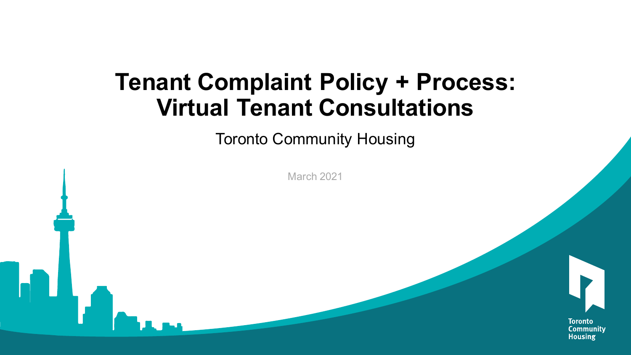#### **Tenant Complaint Policy + Process: Virtual Tenant Consultations**

Toronto Community Housing

March 2021



**Toronto** Community **Housing**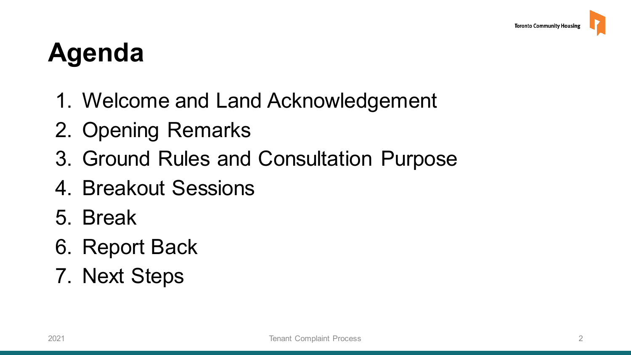### **Agenda**

- [1. Welcome and Land Acknowledgement](#page-2-0)
- [2. Opening Remarks](#page-3-0)
- [3. Ground Rules and Consultation Purpose](#page-4-0)
- [4. Breakout Sessions](#page-9-0)
- [5. Break](#page-13-0)
- [6. Report Back](#page-14-0)
- [7. Next Steps](#page-15-0)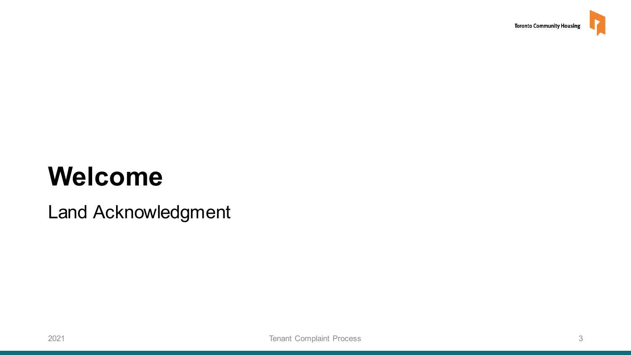#### <span id="page-2-0"></span>**Welcome**

Land Acknowledgment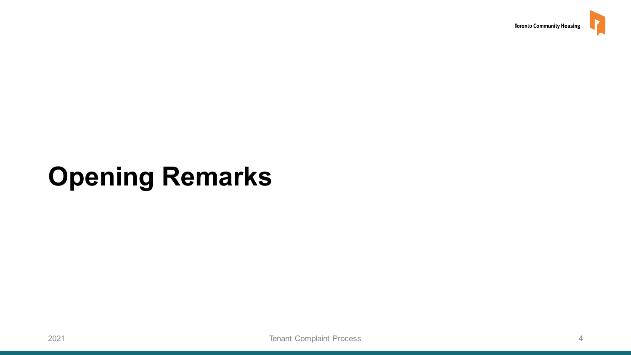

#### <span id="page-3-0"></span>**Opening Remarks**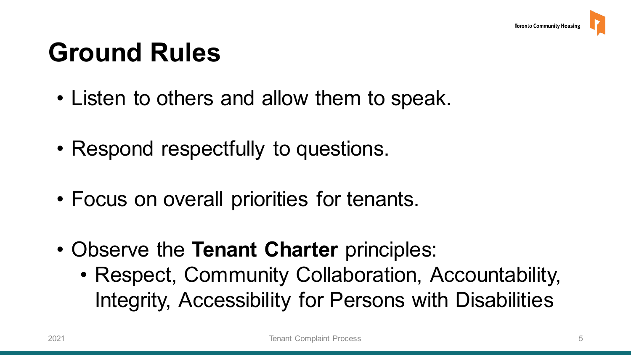#### <span id="page-4-0"></span>**Ground Rules**

- Listen to others and allow them to speak.
- Respond respectfully to questions.
- Focus on overall priorities for tenants.
- Observe the **Tenant Charter** principles:
	- Integrity, Accessibility for Persons with Disabilities • Respect, Community Collaboration, Accountability,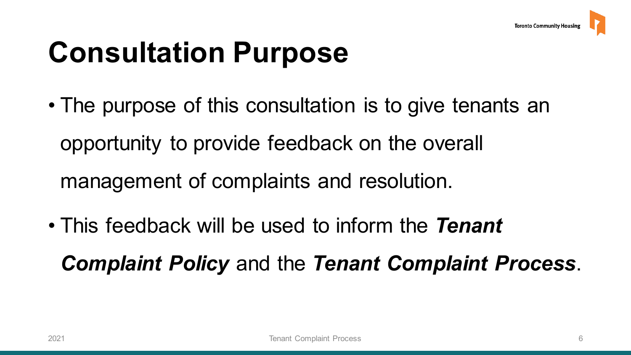# **Consultation Purpose**

- • The purpose of this consultation is to give tenants an opportunity to provide feedback on the overall management of complaints and resolution.
- This feedback will be used to inform the *Tenant Complaint Policy* and the *Tenant Complaint Process*.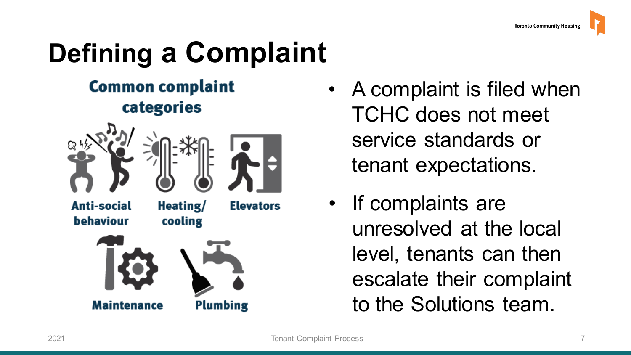# **Defining a Complaint**

#### **Common complaint** categories



**Plumbing** 

**Maintenance** 

- • A complaint is filed when TCHC does not meet service standards or tenant expectations.
- level, tenants can then • If complaints are unresolved at the local escalate their complaint to the Solutions team.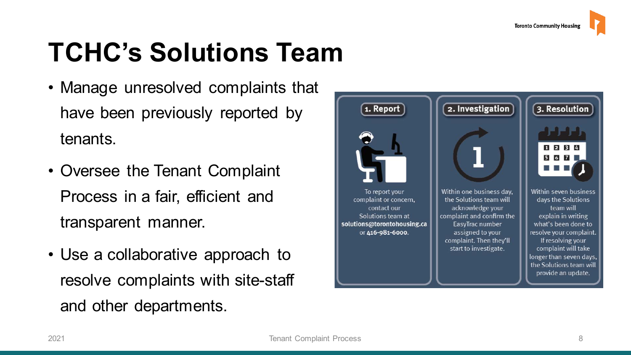## **TCHC's Solutions Team**

- • Manage unresolved complaints that have been previously reported by tenants.
- • Oversee the Tenant Complaint Process in a fair, efficient and transparent manner.
- resolve complaints with site-staff • Use a collaborative approach to and other departments.

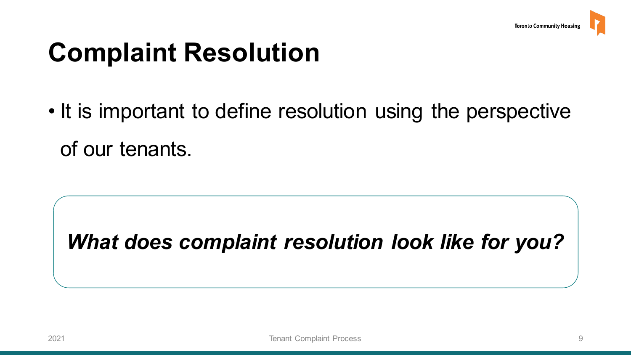## **Complaint Resolution**

 • It is important to define resolution using the perspective of our tenants.

 *What does complaint resolution look like for you?*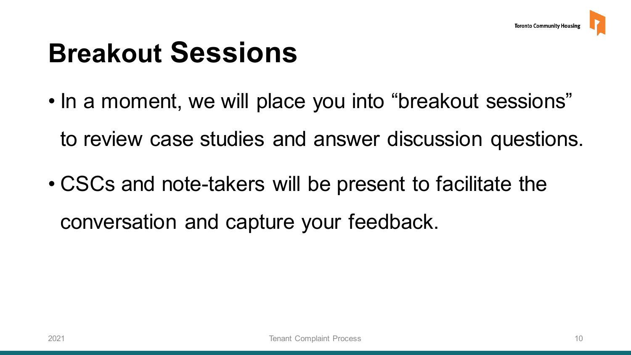# <span id="page-9-0"></span>**Breakout Sessions**

• In a moment, we will place you into "breakout sessions"

to review case studies and answer discussion questions.

• CSCs and note-takers will be present to facilitate the conversation and capture your feedback.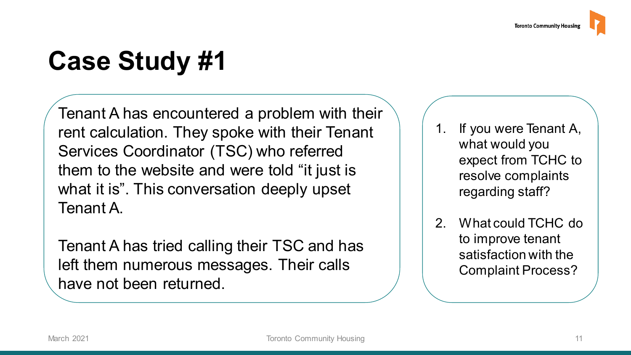# **Case Study #1**

Tenant A has encountered a problem with their rent calculation. They spoke with their Tenant Services Coordinator (TSC) who referred them to the website and were told "it just is what it is". This conversation deeply upset Tenant A.

Tenant A has tried calling their TSC and has left them numerous messages. Their calls have not been returned.

- 1. If you were Tenant A, what would you expect from TCHC to resolve complaints regarding staff?
- 2. What could TCHC do to improve tenant satisfaction with the Complaint Process?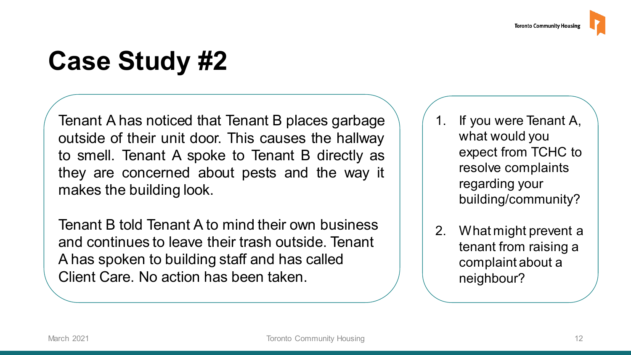## **Case Study #2**

Tenant A has noticed that Tenant B places garbage outside of their unit door. This causes the hallway to smell. Tenant A spoke to Tenant B directly as they are concerned about pests and the way it makes the building look.

Tenant B told Tenant A to mind their own business and continues to leave their trash outside. Tenant A has spoken to building staff and has called Client Care. No action has been taken.

1. If you were Tenant A, what would you expect from TCHC to resolve complaints regarding your building/community?

2. What might prevent a tenant from raising a complaint about a neighbour?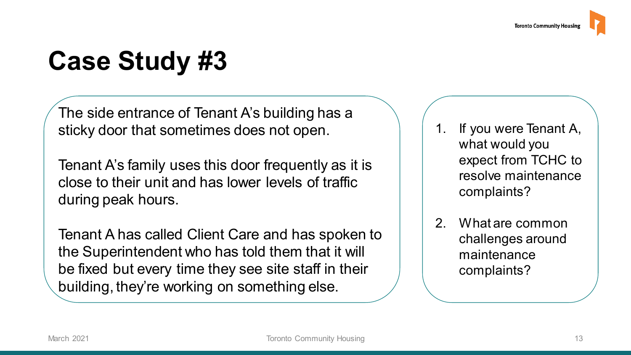#### **Case Study #3**

The side entrance of Tenant A's building has a sticky door that sometimes does not open.

Tenant A's family uses this door frequently as it is close to their unit and has lower levels of traffic during peak hours.

Tenant A has called Client Care and has spoken to the Superintendent who has told them that it will be fixed but every time they see site staff in their building, they're working on something else.

- If you were Tenant A, what would you expect from TCHC to resolve maintenance complaints?
- 2. What are common challenges around maintenance complaints?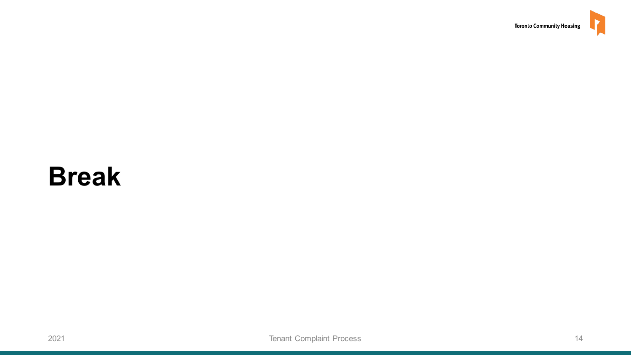#### <span id="page-13-0"></span>**Break**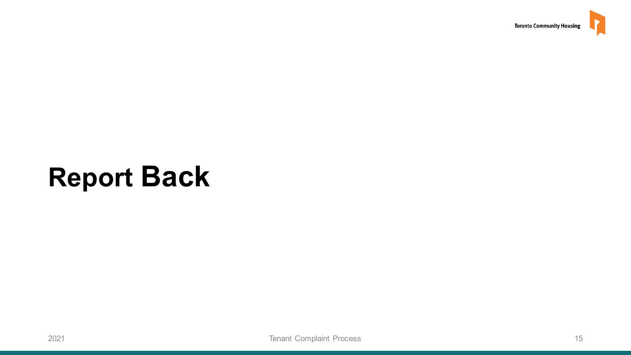

#### <span id="page-14-0"></span>**Report Back**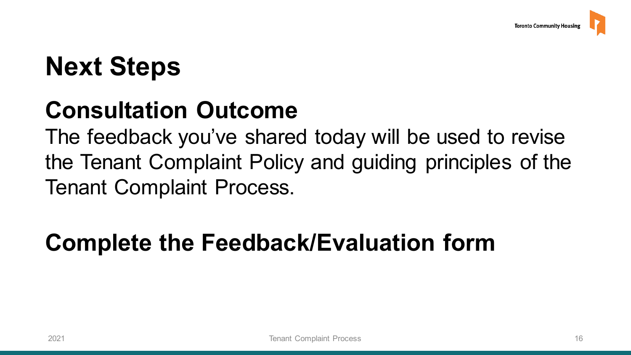#### <span id="page-15-0"></span>**Next Steps**

#### **Consultation Outcome**

 The feedback you've shared today will be used to revise the Tenant Complaint Policy and guiding principles of the Tenant Complaint Process.

#### **Complete the Feedback/Evaluation form**